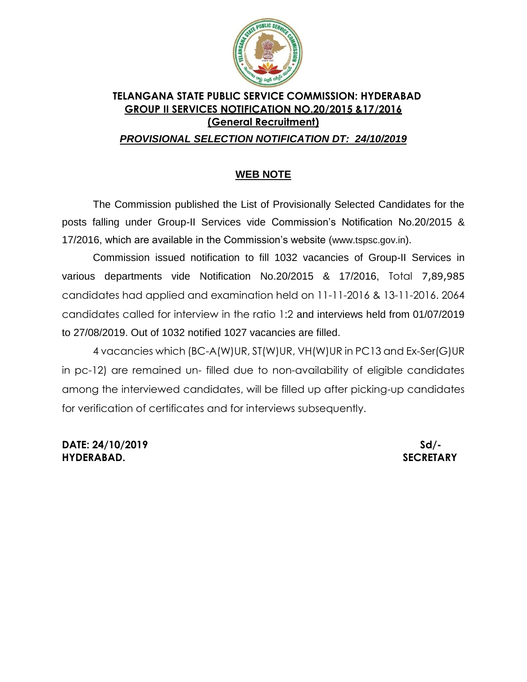

## **TELANGANA STATE PUBLIC SERVICE COMMISSION: HYDERABAD GROUP II SERVICES NOTIFICATION NO.20/2015 &17/2016 (General Recruitment)**

## *PROVISIONAL SELECTION NOTIFICATION DT: 24/10/2019*

## **WEB NOTE**

The Commission published the List of Provisionally Selected Candidates for the posts falling under Group-II Services vide Commission's Notification No.20/2015 & 17/2016, which are available in the Commission's website ([www.tspsc.gov.in](http://www.tspsc.gov.in/)).

Commission issued notification to fill 1032 vacancies of Group-II Services in various departments vide Notification No.20/2015 & 17/2016, Total 7,89,985 candidates had applied and examination held on 11-11-2016 & 13-11-2016. 2064 candidates called for interview in the ratio 1:2 and interviews held from 01/07/2019 to 27/08/2019. Out of 1032 notified 1027 vacancies are filled.

4 vacancies which (BC-A(W)UR, ST(W)UR, VH(W)UR in PC13 and Ex-Ser(G)UR in pc-12) are remained un- filled due to non-availability of eligible candidates among the interviewed candidates, will be filled up after picking-up candidates for verification of certificates and for interviews subsequently.

**DATE: 24/10/2019** Sd/-**HYDERABAD. SECRETARY**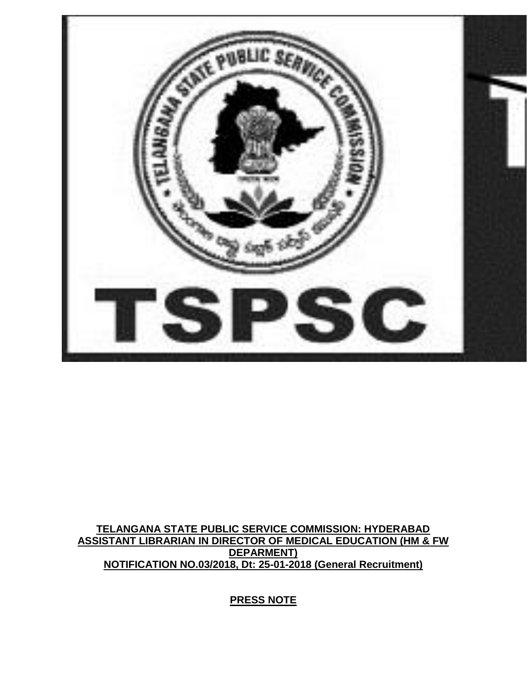

## **TELANGANA STATE PUBLIC SERVICE COMMISSION: HYDERABAD ASSISTANT LIBRARIAN IN DIRECTOR OF MEDICAL EDUCATION (HM & FW DEPARMENT) NOTIFICATION NO.03/2018, Dt: 25-01-2018 (General Recruitment)**

**PRESS NOTE**